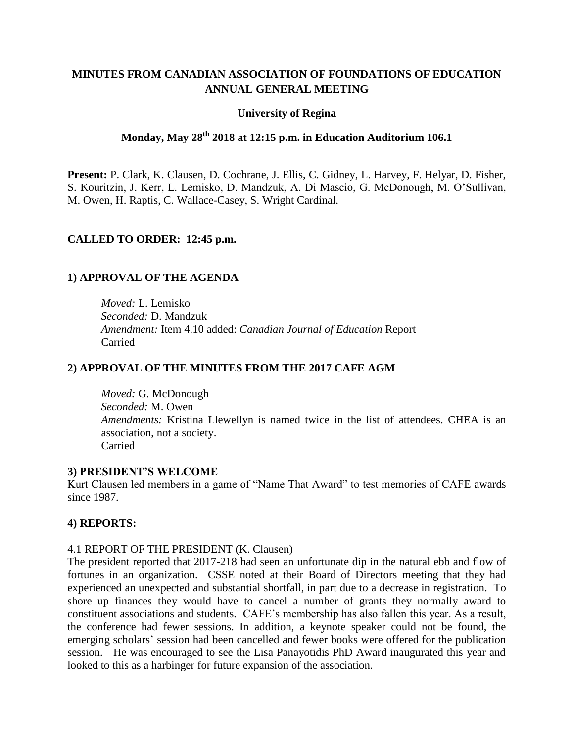# **MINUTES FROM CANADIAN ASSOCIATION OF FOUNDATIONS OF EDUCATION ANNUAL GENERAL MEETING**

### **University of Regina**

# **Monday, May 28th 2018 at 12:15 p.m. in Education Auditorium 106.1**

**Present:** P. Clark, K. Clausen, D. Cochrane, J. Ellis, C. Gidney, L. Harvey, F. Helyar, D. Fisher, S. Kouritzin, J. Kerr, L. Lemisko, D. Mandzuk, A. Di Mascio, G. McDonough, M. O'Sullivan, M. Owen, H. Raptis, C. Wallace-Casey, S. Wright Cardinal.

# **CALLED TO ORDER: 12:45 p.m.**

# **1) APPROVAL OF THE AGENDA**

*Moved:* L. Lemisko *Seconded:* D. Mandzuk *Amendment:* Item 4.10 added: *Canadian Journal of Education* Report Carried

## **2) APPROVAL OF THE MINUTES FROM THE 2017 CAFE AGM**

*Moved:* G. McDonough *Seconded:* M. Owen *Amendments:* Kristina Llewellyn is named twice in the list of attendees. CHEA is an association, not a society. Carried

### **3) PRESIDENT'S WELCOME**

Kurt Clausen led members in a game of "Name That Award" to test memories of CAFE awards since 1987.

### **4) REPORTS:**

#### 4.1 REPORT OF THE PRESIDENT (K. Clausen)

The president reported that 2017-218 had seen an unfortunate dip in the natural ebb and flow of fortunes in an organization. CSSE noted at their Board of Directors meeting that they had experienced an unexpected and substantial shortfall, in part due to a decrease in registration. To shore up finances they would have to cancel a number of grants they normally award to constituent associations and students. CAFE's membership has also fallen this year. As a result, the conference had fewer sessions. In addition, a keynote speaker could not be found, the emerging scholars' session had been cancelled and fewer books were offered for the publication session. He was encouraged to see the Lisa Panayotidis PhD Award inaugurated this year and looked to this as a harbinger for future expansion of the association.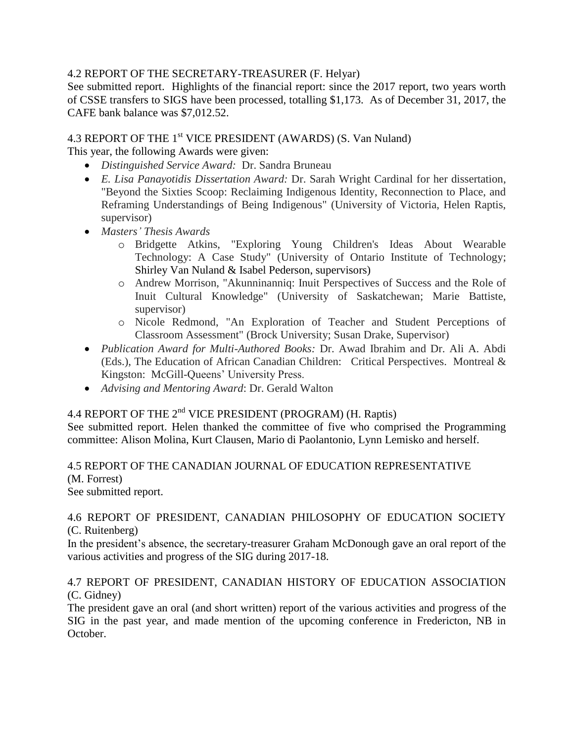# 4.2 REPORT OF THE SECRETARY-TREASURER (F. Helyar)

See submitted report. Highlights of the financial report: since the 2017 report, two years worth of CSSE transfers to SIGS have been processed, totalling \$1,173. As of December 31, 2017, the CAFE bank balance was \$7,012.52.

# 4.3 REPORT OF THE 1st VICE PRESIDENT (AWARDS) (S. Van Nuland)

This year, the following Awards were given:

- *Distinguished Service Award:* Dr. Sandra Bruneau
- *E. Lisa Panayotidis Dissertation Award:* Dr. Sarah Wright Cardinal for her dissertation, "Beyond the Sixties Scoop: Reclaiming Indigenous Identity, Reconnection to Place, and Reframing Understandings of Being Indigenous" (University of Victoria, Helen Raptis, supervisor)
- *Masters' Thesis Awards*
	- o Bridgette Atkins, "Exploring Young Children's Ideas About Wearable Technology: A Case Study" (University of Ontario Institute of Technology; Shirley Van Nuland & Isabel Pederson, supervisors)
	- o Andrew Morrison, "Akunninanniq: Inuit Perspectives of Success and the Role of Inuit Cultural Knowledge" (University of Saskatchewan; Marie Battiste, supervisor)
	- o Nicole Redmond, "An Exploration of Teacher and Student Perceptions of Classroom Assessment" (Brock University; Susan Drake, Supervisor)
- *Publication Award for Multi-Authored Books:* Dr. Awad Ibrahim and Dr. Ali A. Abdi (Eds.), The Education of African Canadian Children: Critical Perspectives. Montreal & Kingston: McGill-Queens' University Press.
- *Advising and Mentoring Award*: Dr. Gerald Walton

# 4.4 REPORT OF THE 2nd VICE PRESIDENT (PROGRAM) (H. Raptis)

See submitted report. Helen thanked the committee of five who comprised the Programming committee: Alison Molina, Kurt Clausen, Mario di Paolantonio, Lynn Lemisko and herself.

# 4.5 REPORT OF THE CANADIAN JOURNAL OF EDUCATION REPRESENTATIVE

(M. Forrest)

See submitted report.

# 4.6 REPORT OF PRESIDENT, CANADIAN PHILOSOPHY OF EDUCATION SOCIETY (C. Ruitenberg)

In the president's absence, the secretary-treasurer Graham McDonough gave an oral report of the various activities and progress of the SIG during 2017-18.

# 4.7 REPORT OF PRESIDENT, CANADIAN HISTORY OF EDUCATION ASSOCIATION (C. Gidney)

The president gave an oral (and short written) report of the various activities and progress of the SIG in the past year, and made mention of the upcoming conference in Fredericton, NB in October.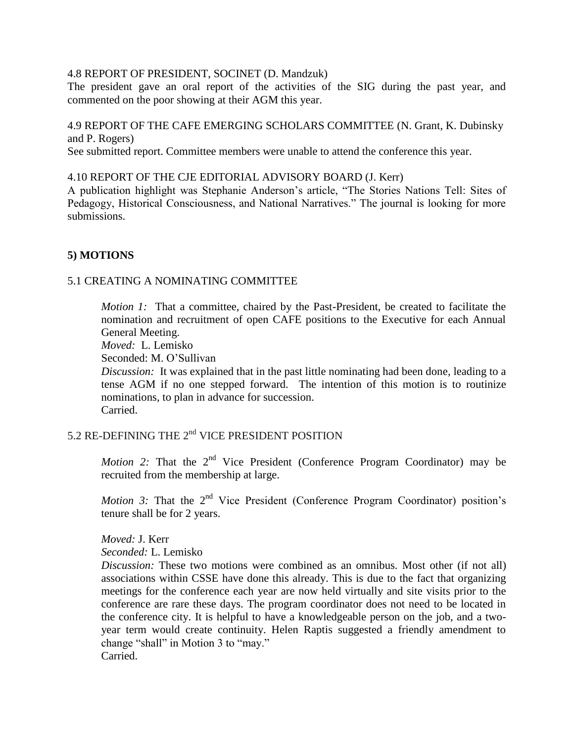#### 4.8 REPORT OF PRESIDENT, SOCINET (D. Mandzuk)

The president gave an oral report of the activities of the SIG during the past year, and commented on the poor showing at their AGM this year.

4.9 REPORT OF THE CAFE EMERGING SCHOLARS COMMITTEE (N. Grant, K. Dubinsky and P. Rogers) See submitted report. Committee members were unable to attend the conference this year.

#### 4.10 REPORT OF THE CJE EDITORIAL ADVISORY BOARD (J. Kerr)

A publication highlight was Stephanie Anderson's article, "The Stories Nations Tell: Sites of Pedagogy, Historical Consciousness, and National Narratives." The journal is looking for more submissions.

# **5) MOTIONS**

### 5.1 CREATING A NOMINATING COMMITTEE

*Motion 1:* That a committee, chaired by the Past-President, be created to facilitate the nomination and recruitment of open CAFE positions to the Executive for each Annual General Meeting.

*Moved:* L. Lemisko

Seconded: M. O'Sullivan

*Discussion:* It was explained that in the past little nominating had been done, leading to a tense AGM if no one stepped forward. The intention of this motion is to routinize nominations, to plan in advance for succession. Carried.

# 5.2 RE-DEFINING THE  $2^{nd}$  VICE PRESIDENT POSITION

*Motion 2:* That the  $2<sup>nd</sup>$  Vice President (Conference Program Coordinator) may be recruited from the membership at large.

*Motion 3:* That the 2<sup>nd</sup> Vice President (Conference Program Coordinator) position's tenure shall be for 2 years.

*Moved:* J. Kerr

*Seconded:* L. Lemisko

*Discussion:* These two motions were combined as an omnibus. Most other (if not all) associations within CSSE have done this already. This is due to the fact that organizing meetings for the conference each year are now held virtually and site visits prior to the conference are rare these days. The program coordinator does not need to be located in the conference city. It is helpful to have a knowledgeable person on the job, and a twoyear term would create continuity. Helen Raptis suggested a friendly amendment to change "shall" in Motion 3 to "may." Carried.